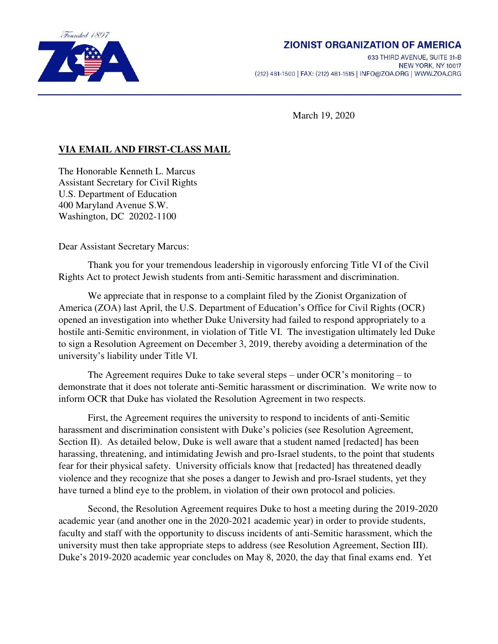

# **ZIONIST ORGANIZATION OF AMERICA**

633 THIRD AVENUE, SUITE 31-B NEW YORK, NY 10017 (212) 481-1500 | FAX: (212) 481-1515 | INFO@ZOA.ORG | WWW.ZOA.ORG

March 19, 2020

# **VIA EMAIL AND FIRST-CLASS MAIL**

The Honorable Kenneth L. Marcus Assistant Secretary for Civil Rights U.S. Department of Education 400 Maryland Avenue S.W. Washington, DC 20202-1100

Dear Assistant Secretary Marcus:

 Thank you for your tremendous leadership in vigorously enforcing Title VI of the Civil Rights Act to protect Jewish students from anti-Semitic harassment and discrimination.

We appreciate that in response to a complaint filed by the Zionist Organization of America (ZOA) last April, the U.S. Department of Education's Office for Civil Rights (OCR) opened an investigation into whether Duke University had failed to respond appropriately to a hostile anti-Semitic environment, in violation of Title VI. The investigation ultimately led Duke to sign a Resolution Agreement on December 3, 2019, thereby avoiding a determination of the university's liability under Title VI.

The Agreement requires Duke to take several steps – under OCR's monitoring – to demonstrate that it does not tolerate anti-Semitic harassment or discrimination. We write now to inform OCR that Duke has violated the Resolution Agreement in two respects.

First, the Agreement requires the university to respond to incidents of anti-Semitic harassment and discrimination consistent with Duke's policies (see Resolution Agreement, Section II). As detailed below, Duke is well aware that a student named [redacted] has been harassing, threatening, and intimidating Jewish and pro-Israel students, to the point that students fear for their physical safety. University officials know that [redacted] has threatened deadly violence and they recognize that she poses a danger to Jewish and pro-Israel students, yet they have turned a blind eye to the problem, in violation of their own protocol and policies.

Second, the Resolution Agreement requires Duke to host a meeting during the 2019-2020 academic year (and another one in the 2020-2021 academic year) in order to provide students, faculty and staff with the opportunity to discuss incidents of anti-Semitic harassment, which the university must then take appropriate steps to address (see Resolution Agreement, Section III). Duke's 2019-2020 academic year concludes on May 8, 2020, the day that final exams end. Yet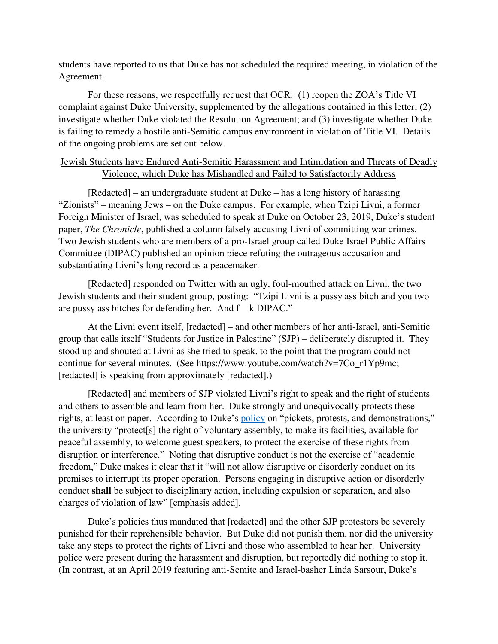students have reported to us that Duke has not scheduled the required meeting, in violation of the Agreement.

For these reasons, we respectfully request that OCR: (1) reopen the ZOA's Title VI complaint against Duke University, supplemented by the allegations contained in this letter; (2) investigate whether Duke violated the Resolution Agreement; and (3) investigate whether Duke is failing to remedy a hostile anti-Semitic campus environment in violation of Title VI. Details of the ongoing problems are set out below.

### Jewish Students have Endured Anti-Semitic Harassment and Intimidation and Threats of Deadly Violence, which Duke has Mishandled and Failed to Satisfactorily Address

[Redacted] – an undergraduate student at Duke – has a long history of harassing "Zionists" – meaning Jews – on the Duke campus. For example, when Tzipi Livni, a former Foreign Minister of Israel, was scheduled to speak at Duke on October 23, 2019, Duke's student paper, *The Chronicle*, published a column falsely accusing Livni of committing war crimes. Two Jewish students who are members of a pro-Israel group called Duke Israel Public Affairs Committee (DIPAC) published an opinion piece refuting the outrageous accusation and substantiating Livni's long record as a peacemaker.

[Redacted] responded on Twitter with an ugly, foul-mouthed attack on Livni, the two Jewish students and their student group, posting: "Tzipi Livni is a pussy ass bitch and you two are pussy ass bitches for defending her. And f—k DIPAC."

At the Livni event itself, [redacted] – and other members of her anti-Israel, anti-Semitic group that calls itself "Students for Justice in Palestine" (SJP) – deliberately disrupted it. They stood up and shouted at Livni as she tried to speak, to the point that the program could not continue for several minutes. (See https://www.youtube.com/watch?v=7Co\_r1Yp9mc; [redacted] is speaking from approximately [redacted].)

[Redacted] and members of SJP violated Livni's right to speak and the right of students and others to assemble and learn from her. Duke strongly and unequivocally protects these rights, at least on paper. According to Duke's [policy](https://registrar.duke.edu/sites/default/files/bulletins/DCS%20Guide%20Full%202019-2020.pdf) on "pickets, protests, and demonstrations," the university "protect[s] the right of voluntary assembly, to make its facilities, available for peaceful assembly, to welcome guest speakers, to protect the exercise of these rights from disruption or interference." Noting that disruptive conduct is not the exercise of "academic freedom," Duke makes it clear that it "will not allow disruptive or disorderly conduct on its premises to interrupt its proper operation. Persons engaging in disruptive action or disorderly conduct **shall** be subject to disciplinary action, including expulsion or separation, and also charges of violation of law" [emphasis added].

Duke's policies thus mandated that [redacted] and the other SJP protestors be severely punished for their reprehensible behavior. But Duke did not punish them, nor did the university take any steps to protect the rights of Livni and those who assembled to hear her. University police were present during the harassment and disruption, but reportedly did nothing to stop it. (In contrast, at an April 2019 featuring anti-Semite and Israel-basher Linda Sarsour, Duke's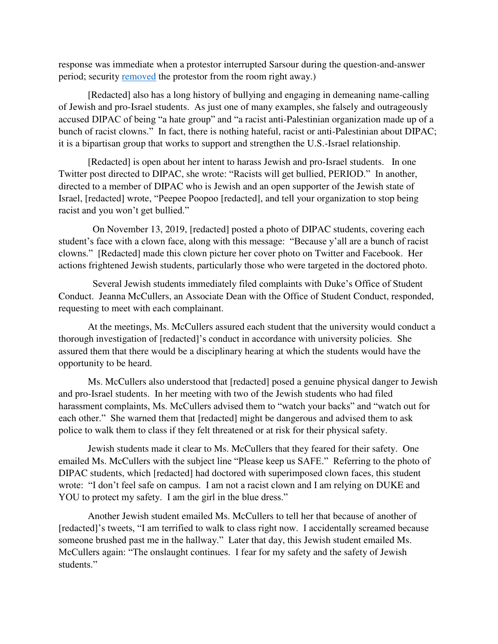response was immediate when a protestor interrupted Sarsour during the question-and-answer period; security [removed](https://www.dukechronicle.com/article/2019/04/linda-sarsour-duke-university-islam-intersectionality-womens-march-protester) the protestor from the room right away.)

[Redacted] also has a long history of bullying and engaging in demeaning name-calling of Jewish and pro-Israel students. As just one of many examples, she falsely and outrageously accused DIPAC of being "a hate group" and "a racist anti-Palestinian organization made up of a bunch of racist clowns." In fact, there is nothing hateful, racist or anti-Palestinian about DIPAC; it is a bipartisan group that works to support and strengthen the U.S.-Israel relationship.

[Redacted] is open about her intent to harass Jewish and pro-Israel students. In one Twitter post directed to DIPAC, she wrote: "Racists will get bullied, PERIOD." In another, directed to a member of DIPAC who is Jewish and an open supporter of the Jewish state of Israel, [redacted] wrote, "Peepee Poopoo [redacted], and tell your organization to stop being racist and you won't get bullied."

 On November 13, 2019, [redacted] posted a photo of DIPAC students, covering each student's face with a clown face, along with this message: "Because y'all are a bunch of racist clowns." [Redacted] made this clown picture her cover photo on Twitter and Facebook. Her actions frightened Jewish students, particularly those who were targeted in the doctored photo.

 Several Jewish students immediately filed complaints with Duke's Office of Student Conduct. Jeanna McCullers, an Associate Dean with the Office of Student Conduct, responded, requesting to meet with each complainant.

At the meetings, Ms. McCullers assured each student that the university would conduct a thorough investigation of [redacted]'s conduct in accordance with university policies. She assured them that there would be a disciplinary hearing at which the students would have the opportunity to be heard.

Ms. McCullers also understood that [redacted] posed a genuine physical danger to Jewish and pro-Israel students. In her meeting with two of the Jewish students who had filed harassment complaints, Ms. McCullers advised them to "watch your backs" and "watch out for each other." She warned them that [redacted] might be dangerous and advised them to ask police to walk them to class if they felt threatened or at risk for their physical safety.

Jewish students made it clear to Ms. McCullers that they feared for their safety. One emailed Ms. McCullers with the subject line "Please keep us SAFE." Referring to the photo of DIPAC students, which [redacted] had doctored with superimposed clown faces, this student wrote: "I don't feel safe on campus. I am not a racist clown and I am relying on DUKE and YOU to protect my safety. I am the girl in the blue dress."

Another Jewish student emailed Ms. McCullers to tell her that because of another of [redacted]'s tweets, "I am terrified to walk to class right now. I accidentally screamed because someone brushed past me in the hallway." Later that day, this Jewish student emailed Ms. McCullers again: "The onslaught continues. I fear for my safety and the safety of Jewish students."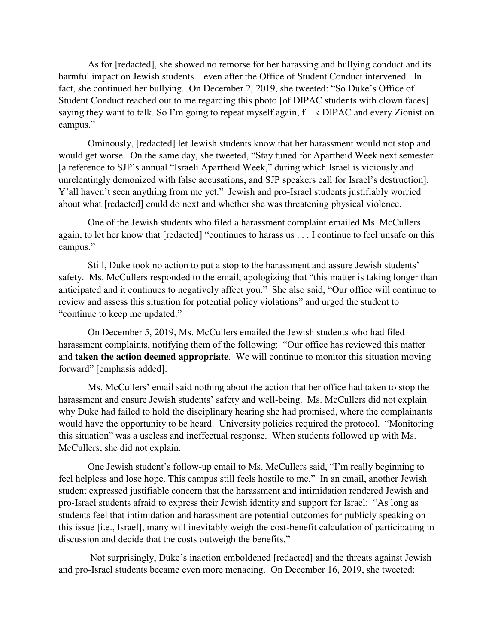As for [redacted], she showed no remorse for her harassing and bullying conduct and its harmful impact on Jewish students – even after the Office of Student Conduct intervened. In fact, she continued her bullying. On December 2, 2019, she tweeted: "So Duke's Office of Student Conduct reached out to me regarding this photo [of DIPAC students with clown faces] saying they want to talk. So I'm going to repeat myself again, f—k DIPAC and every Zionist on campus."

Ominously, [redacted] let Jewish students know that her harassment would not stop and would get worse. On the same day, she tweeted, "Stay tuned for Apartheid Week next semester [a reference to SJP's annual "Israeli Apartheid Week," during which Israel is viciously and unrelentingly demonized with false accusations, and SJP speakers call for Israel's destruction]. Y'all haven't seen anything from me yet." Jewish and pro-Israel students justifiably worried about what [redacted] could do next and whether she was threatening physical violence.

One of the Jewish students who filed a harassment complaint emailed Ms. McCullers again, to let her know that [redacted] "continues to harass us . . . I continue to feel unsafe on this campus."

Still, Duke took no action to put a stop to the harassment and assure Jewish students' safety. Ms. McCullers responded to the email, apologizing that "this matter is taking longer than anticipated and it continues to negatively affect you." She also said, "Our office will continue to review and assess this situation for potential policy violations" and urged the student to "continue to keep me updated."

On December 5, 2019, Ms. McCullers emailed the Jewish students who had filed harassment complaints, notifying them of the following: "Our office has reviewed this matter and **taken the action deemed appropriate**. We will continue to monitor this situation moving forward" [emphasis added].

Ms. McCullers' email said nothing about the action that her office had taken to stop the harassment and ensure Jewish students' safety and well-being. Ms. McCullers did not explain why Duke had failed to hold the disciplinary hearing she had promised, where the complainants would have the opportunity to be heard. University policies required the protocol. "Monitoring this situation" was a useless and ineffectual response. When students followed up with Ms. McCullers, she did not explain.

One Jewish student's follow-up email to Ms. McCullers said, "I'm really beginning to feel helpless and lose hope. This campus still feels hostile to me." In an email, another Jewish student expressed justifiable concern that the harassment and intimidation rendered Jewish and pro-Israel students afraid to express their Jewish identity and support for Israel: "As long as students feel that intimidation and harassment are potential outcomes for publicly speaking on this issue [i.e., Israel], many will inevitably weigh the cost-benefit calculation of participating in discussion and decide that the costs outweigh the benefits."

Not surprisingly, Duke's inaction emboldened [redacted] and the threats against Jewish and pro-Israel students became even more menacing. On December 16, 2019, she tweeted: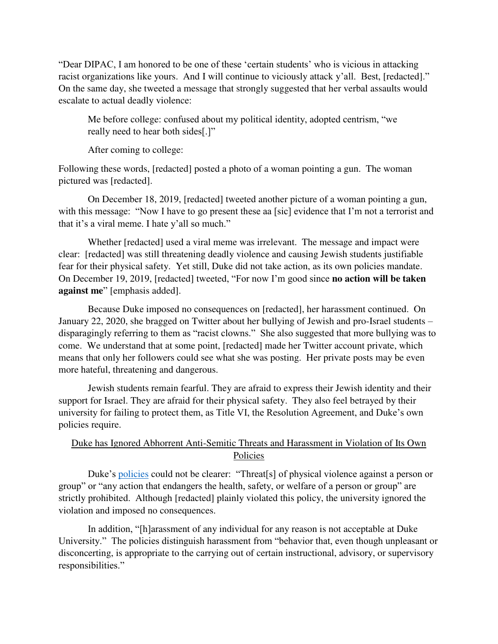"Dear DIPAC, I am honored to be one of these 'certain students' who is vicious in attacking racist organizations like yours. And I will continue to viciously attack y'all. Best, [redacted]." On the same day, she tweeted a message that strongly suggested that her verbal assaults would escalate to actual deadly violence:

Me before college: confused about my political identity, adopted centrism, "we really need to hear both sides[.]"

After coming to college:

Following these words, [redacted] posted a photo of a woman pointing a gun. The woman pictured was [redacted].

On December 18, 2019, [redacted] tweeted another picture of a woman pointing a gun, with this message: "Now I have to go present these aa [sic] evidence that I'm not a terrorist and that it's a viral meme. I hate y'all so much."

Whether [redacted] used a viral meme was irrelevant. The message and impact were clear: [redacted] was still threatening deadly violence and causing Jewish students justifiable fear for their physical safety. Yet still, Duke did not take action, as its own policies mandate. On December 19, 2019, [redacted] tweeted, "For now I'm good since **no action will be taken against me**" [emphasis added].

Because Duke imposed no consequences on [redacted], her harassment continued. On January 22, 2020, she bragged on Twitter about her bullying of Jewish and pro-Israel students – disparagingly referring to them as "racist clowns." She also suggested that more bullying was to come. We understand that at some point, [redacted] made her Twitter account private, which means that only her followers could see what she was posting. Her private posts may be even more hateful, threatening and dangerous.

Jewish students remain fearful. They are afraid to express their Jewish identity and their support for Israel. They are afraid for their physical safety. They also feel betrayed by their university for failing to protect them, as Title VI, the Resolution Agreement, and Duke's own policies require.

## Duke has Ignored Abhorrent Anti-Semitic Threats and Harassment in Violation of Its Own Policies

Duke's [policies](https://registrar.duke.edu/sites/default/files/bulletins/DCS%20Guide%20Full%202019-2020.pdf) could not be clearer: "Threat[s] of physical violence against a person or group" or "any action that endangers the health, safety, or welfare of a person or group" are strictly prohibited. Although [redacted] plainly violated this policy, the university ignored the violation and imposed no consequences.

In addition, "[h]arassment of any individual for any reason is not acceptable at Duke University." The policies distinguish harassment from "behavior that, even though unpleasant or disconcerting, is appropriate to the carrying out of certain instructional, advisory, or supervisory responsibilities."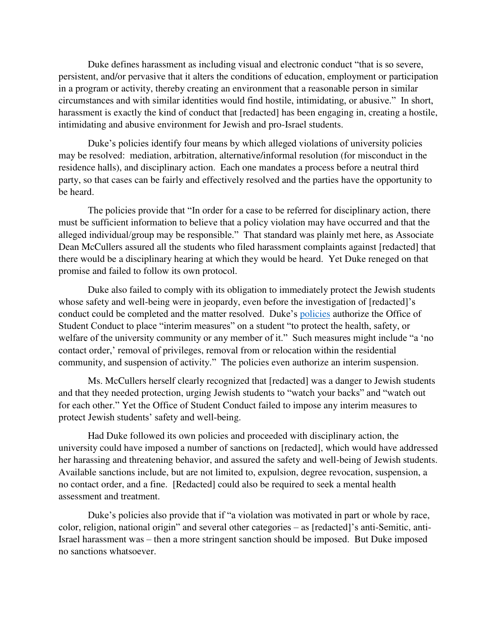Duke defines harassment as including visual and electronic conduct "that is so severe, persistent, and/or pervasive that it alters the conditions of education, employment or participation in a program or activity, thereby creating an environment that a reasonable person in similar circumstances and with similar identities would find hostile, intimidating, or abusive." In short, harassment is exactly the kind of conduct that [redacted] has been engaging in, creating a hostile, intimidating and abusive environment for Jewish and pro-Israel students.

Duke's policies identify four means by which alleged violations of university policies may be resolved: mediation, arbitration, alternative/informal resolution (for misconduct in the residence halls), and disciplinary action. Each one mandates a process before a neutral third party, so that cases can be fairly and effectively resolved and the parties have the opportunity to be heard.

The policies provide that "In order for a case to be referred for disciplinary action, there must be sufficient information to believe that a policy violation may have occurred and that the alleged individual/group may be responsible." That standard was plainly met here, as Associate Dean McCullers assured all the students who filed harassment complaints against [redacted] that there would be a disciplinary hearing at which they would be heard. Yet Duke reneged on that promise and failed to follow its own protocol.

Duke also failed to comply with its obligation to immediately protect the Jewish students whose safety and well-being were in jeopardy, even before the investigation of [redacted]'s conduct could be completed and the matter resolved. Duke's [policies](https://registrar.duke.edu/sites/default/files/bulletins/DCS%20Guide%20Full%202019-2020.pdf) authorize the Office of Student Conduct to place "interim measures" on a student "to protect the health, safety, or welfare of the university community or any member of it." Such measures might include "a 'no contact order,' removal of privileges, removal from or relocation within the residential community, and suspension of activity." The policies even authorize an interim suspension.

Ms. McCullers herself clearly recognized that [redacted] was a danger to Jewish students and that they needed protection, urging Jewish students to "watch your backs" and "watch out for each other." Yet the Office of Student Conduct failed to impose any interim measures to protect Jewish students' safety and well-being.

Had Duke followed its own policies and proceeded with disciplinary action, the university could have imposed a number of sanctions on [redacted], which would have addressed her harassing and threatening behavior, and assured the safety and well-being of Jewish students. Available sanctions include, but are not limited to, expulsion, degree revocation, suspension, a no contact order, and a fine. [Redacted] could also be required to seek a mental health assessment and treatment.

Duke's policies also provide that if "a violation was motivated in part or whole by race, color, religion, national origin" and several other categories – as [redacted]'s anti-Semitic, anti-Israel harassment was – then a more stringent sanction should be imposed. But Duke imposed no sanctions whatsoever.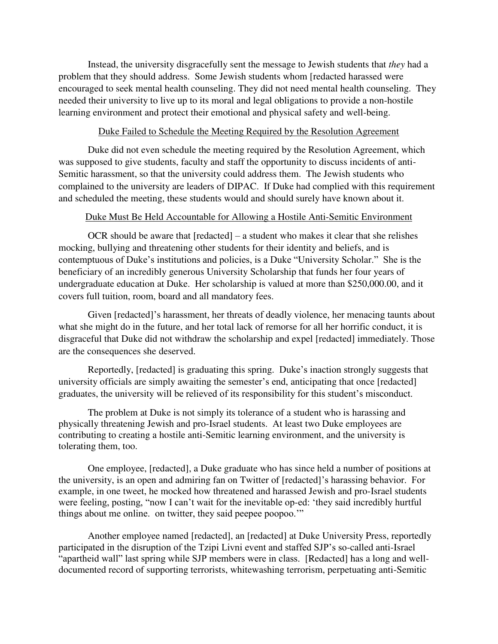Instead, the university disgracefully sent the message to Jewish students that *they* had a problem that they should address. Some Jewish students whom [redacted harassed were encouraged to seek mental health counseling. They did not need mental health counseling. They needed their university to live up to its moral and legal obligations to provide a non-hostile learning environment and protect their emotional and physical safety and well-being.

### Duke Failed to Schedule the Meeting Required by the Resolution Agreement

Duke did not even schedule the meeting required by the Resolution Agreement, which was supposed to give students, faculty and staff the opportunity to discuss incidents of anti-Semitic harassment, so that the university could address them. The Jewish students who complained to the university are leaders of DIPAC. If Duke had complied with this requirement and scheduled the meeting, these students would and should surely have known about it.

### Duke Must Be Held Accountable for Allowing a Hostile Anti-Semitic Environment

OCR should be aware that [redacted] – a student who makes it clear that she relishes mocking, bullying and threatening other students for their identity and beliefs, and is contemptuous of Duke's institutions and policies, is a Duke "University Scholar." She is the beneficiary of an incredibly generous University Scholarship that funds her four years of undergraduate education at Duke. Her scholarship is valued at more than \$250,000.00, and it covers full tuition, room, board and all mandatory fees.

Given [redacted]'s harassment, her threats of deadly violence, her menacing taunts about what she might do in the future, and her total lack of remorse for all her horrific conduct, it is disgraceful that Duke did not withdraw the scholarship and expel [redacted] immediately. Those are the consequences she deserved.

Reportedly, [redacted] is graduating this spring. Duke's inaction strongly suggests that university officials are simply awaiting the semester's end, anticipating that once [redacted] graduates, the university will be relieved of its responsibility for this student's misconduct.

The problem at Duke is not simply its tolerance of a student who is harassing and physically threatening Jewish and pro-Israel students. At least two Duke employees are contributing to creating a hostile anti-Semitic learning environment, and the university is tolerating them, too.

One employee, [redacted], a Duke graduate who has since held a number of positions at the university, is an open and admiring fan on Twitter of [redacted]'s harassing behavior. For example, in one tweet, he mocked how threatened and harassed Jewish and pro-Israel students were feeling, posting, "now I can't wait for the inevitable op-ed: 'they said incredibly hurtful things about me online. on twitter, they said peepee poopoo.'"

Another employee named [redacted], an [redacted] at Duke University Press, reportedly participated in the disruption of the Tzipi Livni event and staffed SJP's so-called anti-Israel "apartheid wall" last spring while SJP members were in class. [Redacted] has a long and welldocumented record of supporting terrorists, whitewashing terrorism, perpetuating anti-Semitic